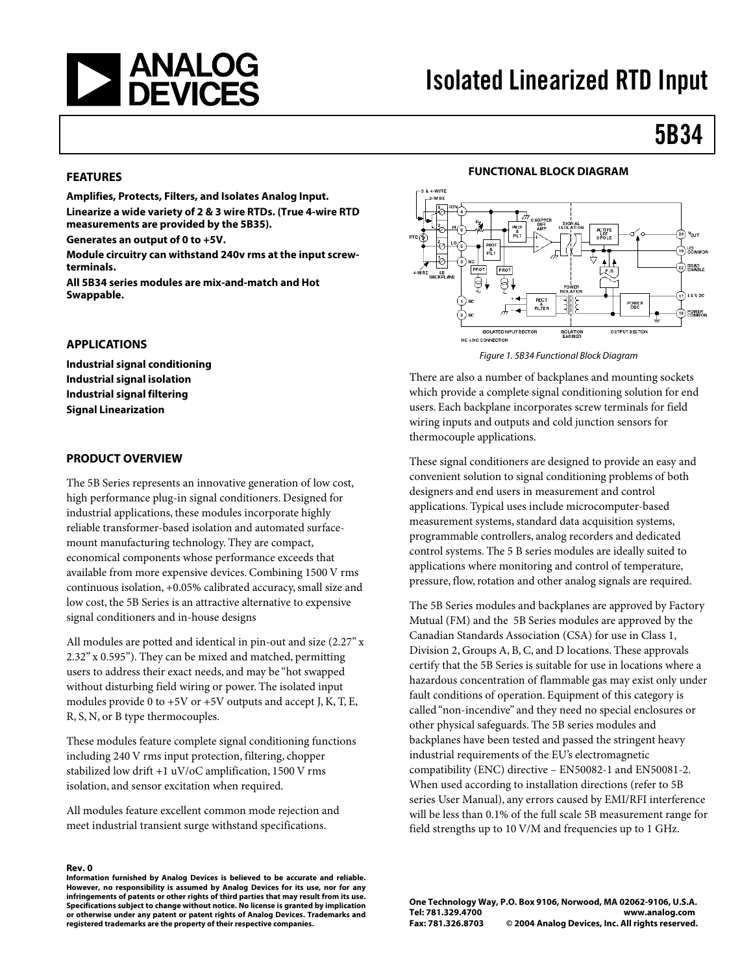

# Isolated Linearized RTD Input

# 5B34

#### **FEATURES**

**Amplifies, Protects, Filters, and Isolates Analog Input. Linearize a wide variety of 2 & 3 wire RTDs. (True 4-wire RTD measurements are provided by the 5B35).** 

**Generates an output of 0 to +5V.** 

**Module circuitry can withstand 240v rms at the input screwterminals.** 

**All 5B34 series modules are mix-and-match and Hot Swappable.** 

#### **APPLICATIONS**

**Industrial signal conditioning Industrial signal isolation Industrial signal filtering Signal Linearization** 

#### **PRODUCT OVERVIEW**

The 5B Series represents an innovative generation of low cost, high performance plug-in signal conditioners. Designed for industrial applications, these modules incorporate highly reliable transformer-based isolation and automated surfacemount manufacturing technology. They are compact, economical components whose performance exceeds that available from more expensive devices. Combining 1500 V rms continuous isolation, +0.05% calibrated accuracy, small size and low cost, the 5B Series is an attractive alternative to expensive signal conditioners and in-house designs

All modules are potted and identical in pin-out and size (2.27" x 2.32" x 0.595"). They can be mixed and matched, permitting users to address their exact needs, and may be "hot swapped without disturbing field wiring or power. The isolated input modules provide 0 to  $+5V$  or  $+5V$  outputs and accept J, K, T, E, R, S, N, or B type thermocouples.

These modules feature complete signal conditioning functions including 240 V rms input protection, filtering, chopper stabilized low drift +1 uV/oC amplification, 1500 V rms isolation, and sensor excitation when required.

All modules feature excellent common mode rejection and meet industrial transient surge withstand specifications.

#### **Rev. 0**

**Information furnished by Analog Devices is believed to be accurate and reliable. However, no responsibility is assumed by Analog Devices for its use, nor for any infringements of patents or other rights of third parties that may result from its use. Specifications subject to change without notice. No license is granted by implication or otherwise under any patent or patent rights of Analog Devices. Trademarks and registered trademarks are the property of their respective companies.**



Figure 1. 5B34 Functional Block Diagram

There are also a number of backplanes and mounting sockets which provide a complete signal conditioning solution for end users. Each backplane incorporates screw terminals for field wiring inputs and outputs and cold junction sensors for thermocouple applications.

These signal conditioners are designed to provide an easy and convenient solution to signal conditioning problems of both designers and end users in measurement and control applications. Typical uses include microcomputer-based measurement systems, standard data acquisition systems, programmable controllers, analog recorders and dedicated control systems. The 5 B series modules are ideally suited to applications where monitoring and control of temperature, pressure, flow, rotation and other analog signals are required.

The 5B Series modules and backplanes are approved by Factory Mutual (FM) and the 5B Series modules are approved by the Canadian Standards Association (CSA) for use in Class 1, Division 2, Groups A, B, C, and D locations. These approvals certify that the 5B Series is suitable for use in locations where a hazardous concentration of flammable gas may exist only under fault conditions of operation. Equipment of this category is called "non-incendive" and they need no special enclosures or other physical safeguards. The 5B series modules and backplanes have been tested and passed the stringent heavy industrial requirements of the EU's electromagnetic compatibility (ENC) directive – EN50082-1 and EN50081-2. When used according to installation directions (refer to 5B series User Manual), any errors caused by EMI/RFI interference will be less than 0.1% of the full scale 5B measurement range for field strengths up to 10 V/M and frequencies up to 1 GHz.

**One Technology Way, P.O. Box 9106, Norwood, MA 02062-9106, U.S.A. Tel: 781.329.4700 www.analog.com Fax: 781.326.8703 © 2004 Analog Devices, Inc. All rights reserved.**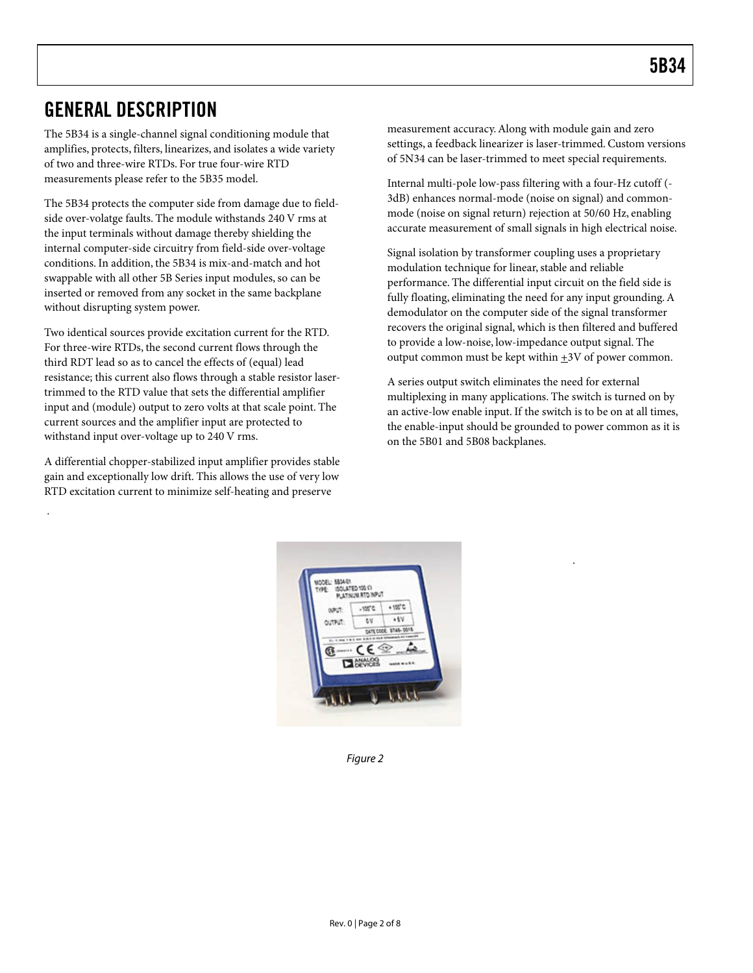### GENERAL DESCRIPTION

The 5B34 is a single-channel signal conditioning module that amplifies, protects, filters, linearizes, and isolates a wide variety of two and three-wire RTDs. For true four-wire RTD measurements please refer to the 5B35 model.

The 5B34 protects the computer side from damage due to fieldside over-volatge faults. The module withstands 240 V rms at the input terminals without damage thereby shielding the internal computer-side circuitry from field-side over-voltage conditions. In addition, the 5B34 is mix-and-match and hot swappable with all other 5B Series input modules, so can be inserted or removed from any socket in the same backplane without disrupting system power.

Two identical sources provide excitation current for the RTD. For three-wire RTDs, the second current flows through the third RDT lead so as to cancel the effects of (equal) lead resistance; this current also flows through a stable resistor lasertrimmed to the RTD value that sets the differential amplifier input and (module) output to zero volts at that scale point. The current sources and the amplifier input are protected to withstand input over-voltage up to 240 V rms.

A differential chopper-stabilized input amplifier provides stable gain and exceptionally low drift. This allows the use of very low RTD excitation current to minimize self-heating and preserve

.

measurement accuracy. Along with module gain and zero settings, a feedback linearizer is laser-trimmed. Custom versions of 5N34 can be laser-trimmed to meet special requirements.

Internal multi-pole low-pass filtering with a four-Hz cutoff (- 3dB) enhances normal-mode (noise on signal) and commonmode (noise on signal return) rejection at 50/60 Hz, enabling accurate measurement of small signals in high electrical noise.

Signal isolation by transformer coupling uses a proprietary modulation technique for linear, stable and reliable performance. The differential input circuit on the field side is fully floating, eliminating the need for any input grounding. A demodulator on the computer side of the signal transformer recovers the original signal, which is then filtered and buffered to provide a low-noise, low-impedance output signal. The output common must be kept within  $\pm 3V$  of power common.

A series output switch eliminates the need for external multiplexing in many applications. The switch is turned on by an active-low enable input. If the switch is to be on at all times, the enable-input should be grounded to power common as it is on the 5B01 and 5B08 backplanes.



Figure 2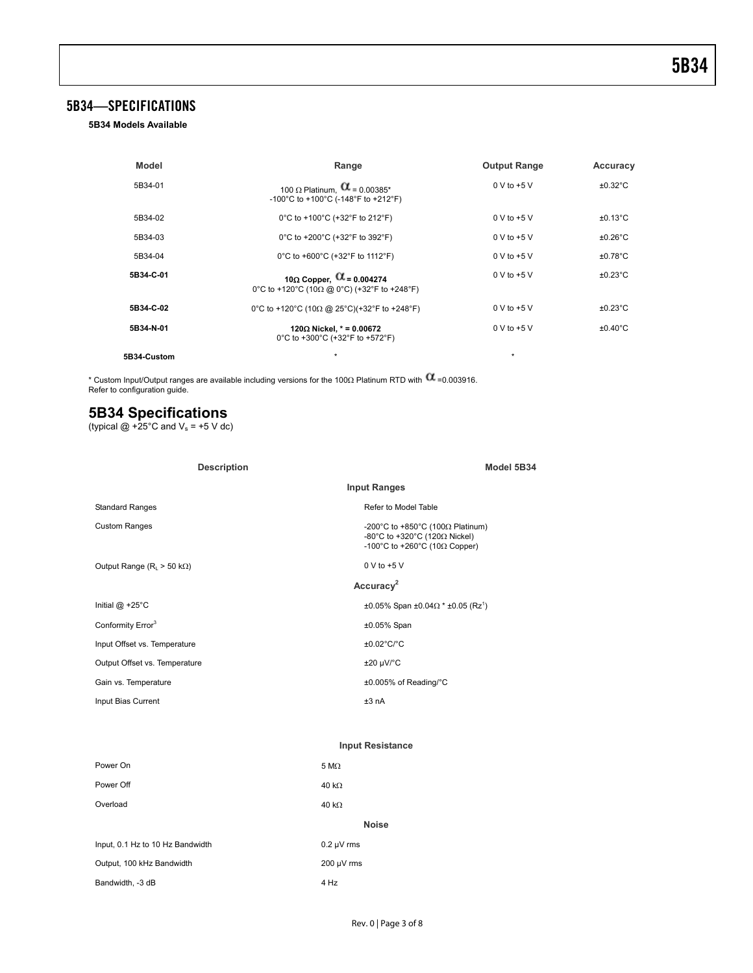### 5B34—SPECIFICATIONS

**5B34 Models Available**

| <b>Model</b> | Range                                                                                  | <b>Output Range</b>   | Accuracy          |
|--------------|----------------------------------------------------------------------------------------|-----------------------|-------------------|
| 5B34-01      | 100 $\Omega$ Platinum, $\alpha$ = 0.00385*<br>-100°C to +100°C (-148°F to +212°F)      | $0 \vee$ to +5 $\vee$ | $±0.32^{\circ}$ C |
| 5B34-02      | 0°C to +100°C (+32°F to 212°F)                                                         | $0 \vee$ to +5 $\vee$ | $±0.13$ °C        |
| 5B34-03      | 0°C to +200°C (+32°F to 392°F)                                                         | $0 \vee$ to +5 $\vee$ | $±0.26^{\circ}$ C |
| 5B34-04      | 0°C to +600°C (+32°F to 1112°F)                                                        | $0 \vee$ to +5 $\vee$ | $±0.78^{\circ}$ C |
| 5B34-C-01    | 10 $\Omega$ Copper, $\alpha$ = 0.004274<br>0°C to +120°C (10Ω @ 0°C) (+32°F to +248°F) | $0 \vee$ to +5 $\vee$ | $±0.23$ °C        |
| 5B34-C-02    | 0°C to +120°C (10 $\Omega$ @ 25°C)(+32°F to +248°F)                                    | $0 \vee$ to +5 $\vee$ | $±0.23$ °C        |
| 5B34-N-01    | 120Ω Nickel, $* = 0.00672$<br>0°C to +300°C (+32°F to +572°F)                          | $0 \vee$ to +5 $\vee$ | $±0.40^{\circ}$ C |
| 5B34-Custom  | ÷                                                                                      | $\star$               |                   |

\* Custom Input/Output ranges are available including versions for the 100Ω Platinum RTD with ™=0.003916.<br>Refer to configuration guide.

### **5B34 Specifications**

(typical  $@ + 25^\circ \text{C}$  and  $\text{V}_\text{s} = +5 \text{ V}$  dc)

| <b>Description</b>                     | Model 5B34                                                                                                                 |  |
|----------------------------------------|----------------------------------------------------------------------------------------------------------------------------|--|
|                                        | <b>Input Ranges</b>                                                                                                        |  |
| <b>Standard Ranges</b>                 | Refer to Model Table                                                                                                       |  |
| <b>Custom Ranges</b>                   | -200°C to +850°C (100 $\Omega$ Platinum)<br>-80°C to +320°C (120 $\Omega$ Nickel)<br>-100°C to +260°C (10 $\Omega$ Copper) |  |
| Output Range ( $R_1 > 50$ k $\Omega$ ) | $0 V to +5 V$                                                                                                              |  |
|                                        | Accuracy <sup>2</sup>                                                                                                      |  |
| Initial $@ + 25^\circ C$               | $\pm 0.05\%$ Span $\pm 0.04\Omega$ * $\pm 0.05$ (Rz <sup>1</sup> )                                                         |  |
| Conformity Error <sup>3</sup>          | $±0.05\%$ Span                                                                                                             |  |
| Input Offset vs. Temperature           | $\pm 0.02^{\circ}$ C/°C                                                                                                    |  |
| Output Offset vs. Temperature          | $\pm 20 \mu V$ °C                                                                                                          |  |
| Gain vs. Temperature                   | ±0.005% of Reading/°C                                                                                                      |  |
| Input Bias Current                     | ±3 nA                                                                                                                      |  |

#### **Input Resistance**

| Power On                         | $5 M\Omega$     |
|----------------------------------|-----------------|
| Power Off                        | 40 k $\Omega$   |
| Overload                         | 40 k $\Omega$   |
|                                  | <b>Noise</b>    |
| Input, 0.1 Hz to 10 Hz Bandwidth | $0.2 \mu V$ rms |
| Output, 100 kHz Bandwidth        | $200 \mu V$ rms |
| Bandwidth, -3 dB                 | 4 Hz            |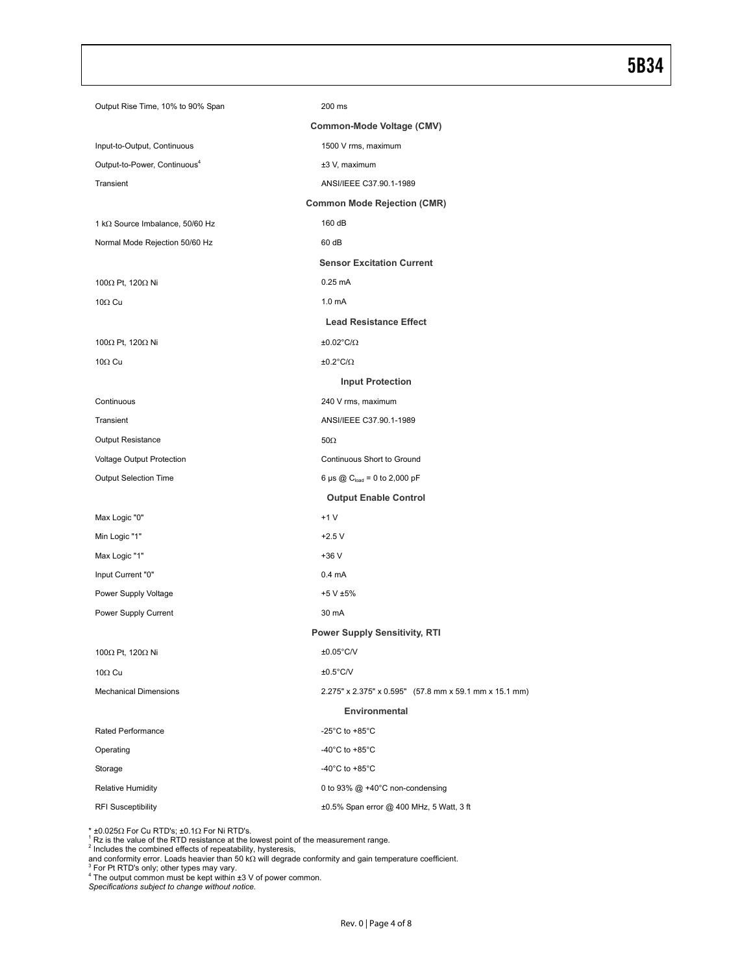### 5B34

| Output Rise Time, 10% to 90% Span        | 200 ms                                                 |  |  |  |
|------------------------------------------|--------------------------------------------------------|--|--|--|
| Common-Mode Voltage (CMV)                |                                                        |  |  |  |
| Input-to-Output, Continuous              | 1500 V rms, maximum                                    |  |  |  |
| Output-to-Power, Continuous <sup>4</sup> | ±3 V, maximum                                          |  |  |  |
| Transient                                | ANSI/IEEE C37.90.1-1989                                |  |  |  |
| <b>Common Mode Rejection (CMR)</b>       |                                                        |  |  |  |
| 1 kΩ Source Imbalance, 50/60 Hz          | 160 dB                                                 |  |  |  |
| Normal Mode Rejection 50/60 Hz           | 60 dB                                                  |  |  |  |
|                                          | <b>Sensor Excitation Current</b>                       |  |  |  |
| 100 $\Omega$ Pt, 120 $\Omega$ Ni         | $0.25$ mA                                              |  |  |  |
| $10\Omega$ Cu                            | 1.0 <sub>m</sub> A                                     |  |  |  |
|                                          | <b>Lead Resistance Effect</b>                          |  |  |  |
| 100Ω Pt, 120Ω Ni                         | $±0.02^{\circ}C/\Omega$                                |  |  |  |
| 10 $\Omega$ Cu                           | $±0.2^{\circ}C/\Omega$                                 |  |  |  |
|                                          | <b>Input Protection</b>                                |  |  |  |
| Continuous                               | 240 V rms, maximum                                     |  |  |  |
| Transient                                | ANSI/IEEE C37.90.1-1989                                |  |  |  |
| <b>Output Resistance</b>                 | $50\Omega$                                             |  |  |  |
| Voltage Output Protection                | Continuous Short to Ground                             |  |  |  |
| <b>Output Selection Time</b>             | 6 µs @ $\mathrm{C_{load}}$ = 0 to 2,000 pF             |  |  |  |
|                                          | <b>Output Enable Control</b>                           |  |  |  |
| Max Logic "0"                            | $+1V$                                                  |  |  |  |
| Min Logic "1"                            | $+2.5V$                                                |  |  |  |
| Max Logic "1"                            | +36 V                                                  |  |  |  |
| Input Current "0"                        | $0.4 \text{ mA}$                                       |  |  |  |
| Power Supply Voltage                     | +5 V ±5%                                               |  |  |  |
| Power Supply Current                     | 30 mA                                                  |  |  |  |
|                                          | <b>Power Supply Sensitivity, RTI</b>                   |  |  |  |
| 100 $\Omega$ Pt, 120 $\Omega$ Ni         | $±0.05^{\circ}$ C/V                                    |  |  |  |
| $10\Omega$ Cu                            | $±0.5^{\circ}$ C/V                                     |  |  |  |
| <b>Mechanical Dimensions</b>             | 2.275" x 2.375" x 0.595" (57.8 mm x 59.1 mm x 15.1 mm) |  |  |  |
| Environmental                            |                                                        |  |  |  |
| Rated Performance                        | -25 $^{\circ}$ C to +85 $^{\circ}$ C                   |  |  |  |
| Operating                                | -40 $^{\circ}$ C to +85 $^{\circ}$ C                   |  |  |  |
| Storage                                  | -40 $^{\circ}$ C to +85 $^{\circ}$ C                   |  |  |  |
| <b>Relative Humidity</b>                 | 0 to 93% @ +40°C non-condensing                        |  |  |  |
| <b>RFI Susceptibility</b>                | ±0.5% Span error @ 400 MHz, 5 Watt, 3 ft               |  |  |  |

\* ±0.025Ω For Cu RTD's; ±0.1Ω For Ni RTD's.<br><sup>1</sup> Rz is the value of the RTD resistance at the lowest point of the measurement range.<br><sup>2</sup> Includes the combined effects of repeatability, hysteresis,<br>and conformity error. Loa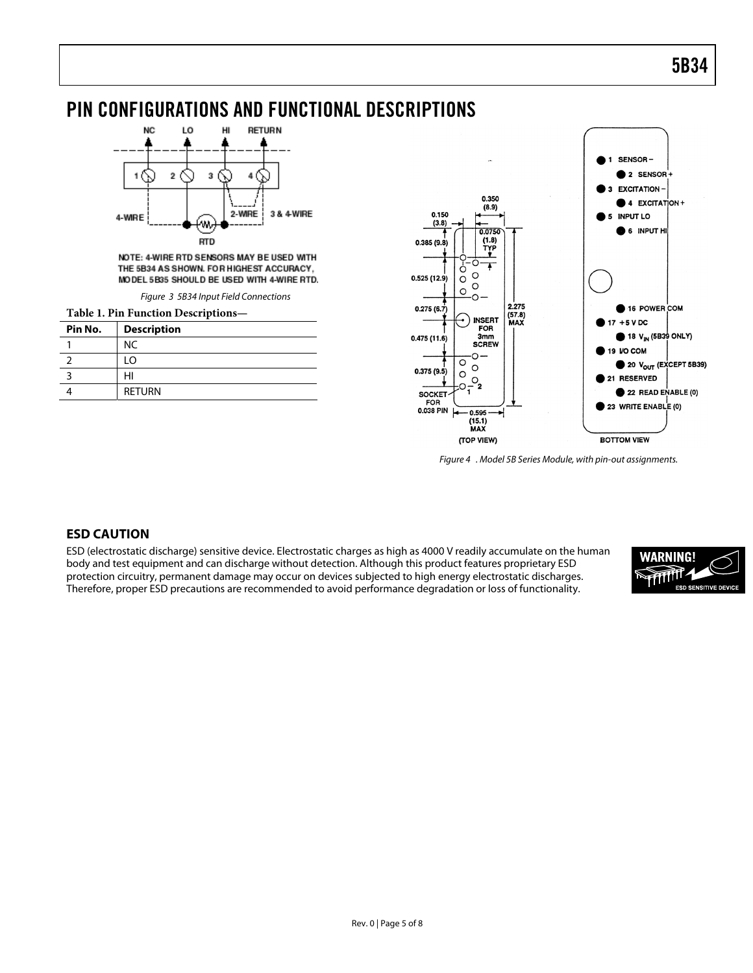## PIN CONFIGURATIONS AND FUNCTIONAL DESCRIPTIONS



NOTE: 4-WIRE RTD SENSORS MAY BE USED WITH THE 5B34 AS SHOWN. FOR HIGHEST ACCURACY, MODEL 5B35 SHOULD BE USED WITH 4-WIRE RTD.

Figure 3 5B34 Input Field Connections

| Table 1. Pin Function Descriptions- |                    |  |
|-------------------------------------|--------------------|--|
| Pin No.                             | <b>Description</b> |  |
|                                     | NC.                |  |
|                                     | . O                |  |
|                                     |                    |  |
|                                     | <b>RETURN</b>      |  |



Figure 4 . Model 5B Series Module, with pin-out assignments.

### **ESD CAUTION**

ESD (electrostatic discharge) sensitive device. Electrostatic charges as high as 4000 V readily accumulate on the human body and test equipment and can discharge without detection. Although this product features proprietary ESD protection circuitry, permanent damage may occur on devices subjected to high energy electrostatic discharges. Therefore, proper ESD precautions are recommended to avoid performance degradation or loss of functionality.

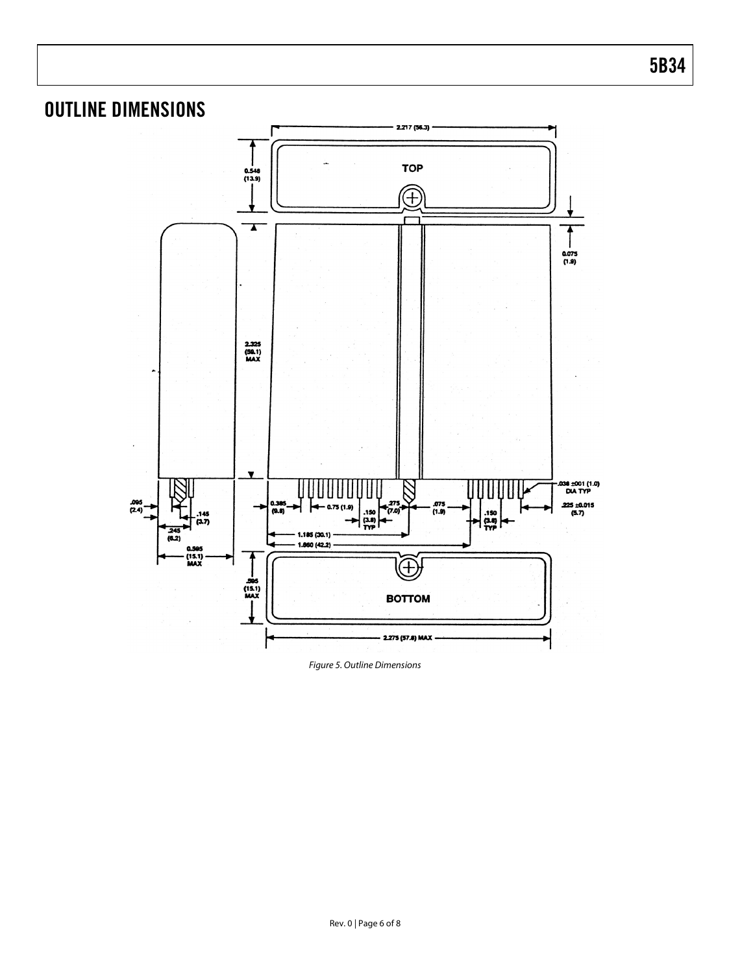

Figure 5. Outline Dimensions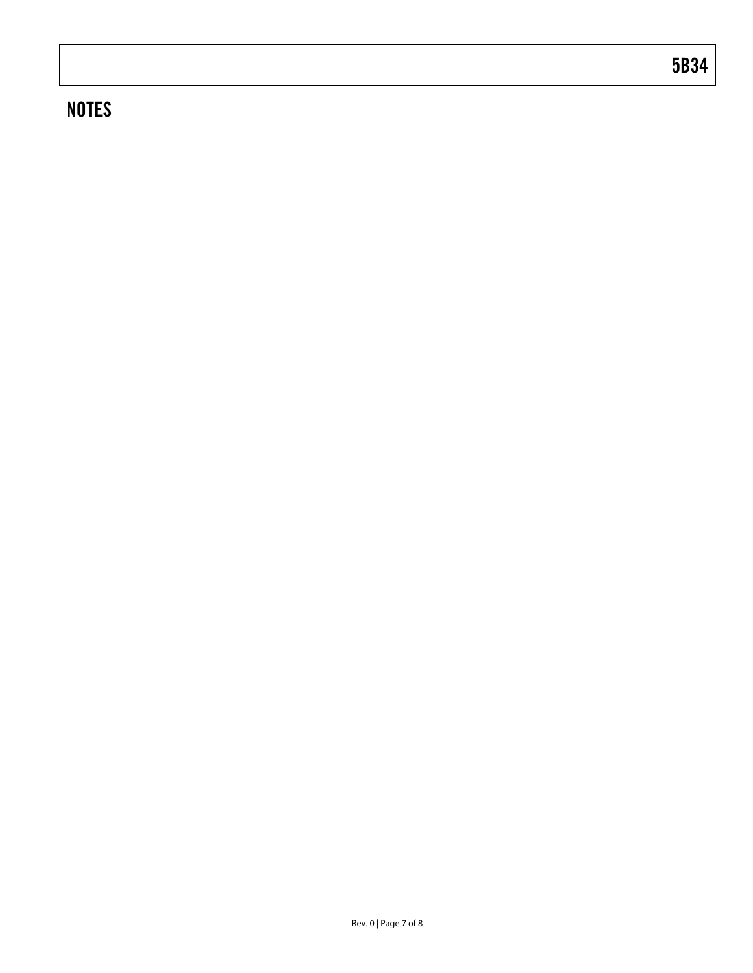# **NOTES**